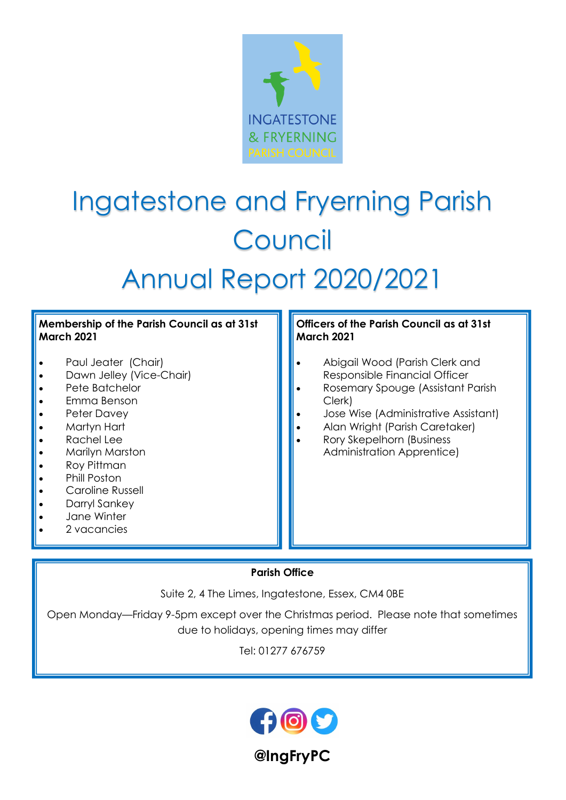

# Ingatestone and Fryerning Parish Council

# Annual Report 2020/2021

#### Membership of the Parish Council as at 31st March 2021

- Paul Jeater (Chair)
- Dawn Jelley (Vice-Chair)
- Pete Batchelor
- · Emma Benson
- Peter Davey
- Martyn Hart
- Rachel Lee
- Marilyn Marston
- · Roy Pittman
- Phill Poston
- Caroline Russell
- Darryl Sankey
- Jane Winter
- 2 vacancies

#### Officers of the Parish Council as at 31st March 2021

- · Abigail Wood (Parish Clerk and Responsible Financial Officer
- · Rosemary Spouge (Assistant Parish Clerk)
- · Jose Wise (Administrative Assistant)
- Alan Wright (Parish Caretaker)
- · Rory Skepelhorn (Business Administration Apprentice)

## Parish Office

Suite 2, 4 The Limes, Ingatestone, Essex, CM4 0BE

Open Monday—Friday 9-5pm except over the Christmas period. Please note that sometimes due to holidays, opening times may differ

Tel: 01277 676759



@IngFryPC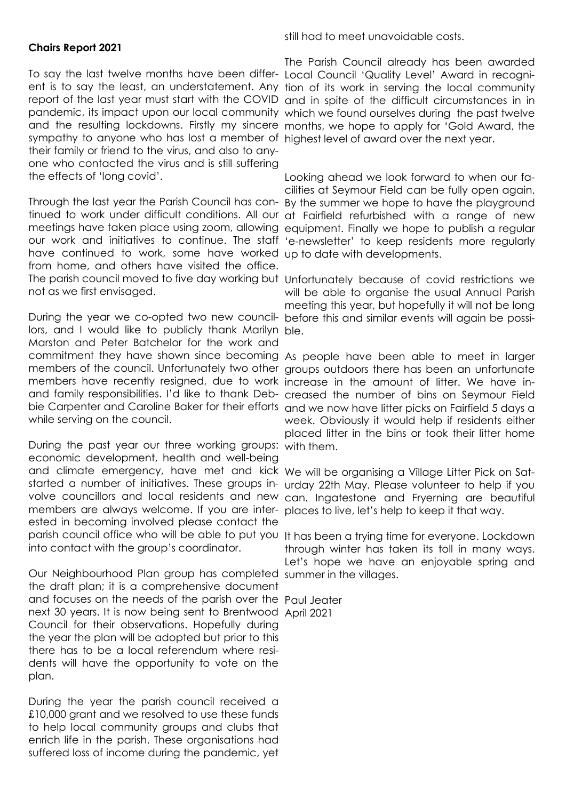#### Chairs Report 2021

To say the last twelve months have been differ-Local Council 'Quality Level' Award in recognient is to say the least, an understatement. Any tion of its work in serving the local community report of the last year must start with the COVID and in spite of the difficult circumstances in in pandemic, its impact upon our local community which we found ourselves during the past twelve and the resulting lockdowns. Firstly my sincere months, we hope to apply for 'Gold Award, the sympathy to anyone who has lost a member of highest level of award over the next year. their family or friend to the virus, and also to anyone who contacted the virus and is still suffering the effects of 'long covid'.

Through the last year the Parish Council has con-By the summer we hope to have the playground tinued to work under difficult conditions. All our at Fairfield refurbished with a range of new meetings have taken place using zoom, allowing equipment. Finally we hope to publish a regular our work and initiatives to continue. The staff 'e-newsletter' to keep residents more regularly have continued to work, some have worked up to date with developments. from home, and others have visited the office. The parish council moved to five day working but Unfortunately because of covid restrictions we not as we first envisaged.

During the year we co-opted two new council-before this and similar events will again be possilors, and I would like to publicly thank Marilyn ble. Marston and Peter Batchelor for the work and commitment they have shown since becoming As people have been able to meet in larger members of the council. Unfortunately two other groups outdoors there has been an unfortunate members have recently resigned, due to work increase in the amount of litter. We have inand family responsibilities. I'd like to thank Deb-creased the number of bins on Seymour Field bie Carpenter and Caroline Baker for their efforts and we now have litter picks on Fairfield 5 days a while serving on the council.

During the past year our three working groups: with them. economic development, health and well-being and climate emergency, have met and kick We will be organising a Village Litter Pick on Satstarted a number of initiatives. These groups in-urday 22th May. Please volunteer to help if you volve councillors and local residents and new can. Ingatestone and Fryerning are beautiful members are always welcome. If you are inter-places to live, let's help to keep it that way. ested in becoming involved please contact the parish council office who will be able to put you It has been a trying time for everyone. Lockdown into contact with the group's coordinator.

Our Neighbourhood Plan group has completed summer in the villages. the draft plan; it is a comprehensive document and focuses on the needs of the parish over the Paul Jeater next 30 years. It is now being sent to Brentwood April 2021Council for their observations. Hopefully during the year the plan will be adopted but prior to this there has to be a local referendum where residents will have the opportunity to vote on the plan.

During the year the parish council received a £10,000 grant and we resolved to use these funds to help local community groups and clubs that enrich life in the parish. These organisations had suffered loss of income during the pandemic, yet

still had to meet unavoidable costs.

The Parish Council already has been awarded

Looking ahead we look forward to when our facilities at Seymour Field can be fully open again.

will be able to organise the usual Annual Parish meeting this year, but hopefully it will not be long

week. Obviously it would help if residents either placed litter in the bins or took their litter home

through winter has taken its toll in many ways. Let's hope we have an enjoyable spring and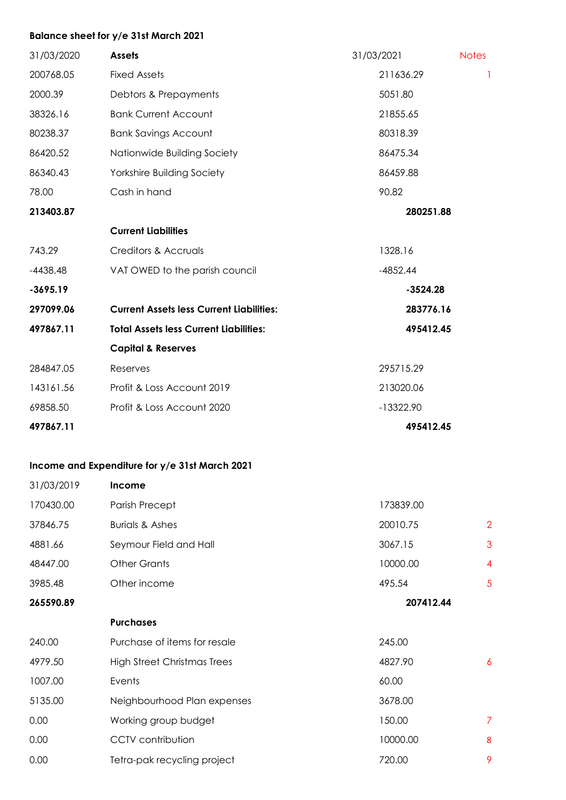#### Balance sheet for y/e 31st March 2021

| 31/03/2020 | <b>Assets</b>                                   | 31/03/2021  | <b>Notes</b> |
|------------|-------------------------------------------------|-------------|--------------|
| 200768.05  | <b>Fixed Assets</b>                             | 211636.29   | T            |
| 2000.39    | Debtors & Prepayments                           | 5051.80     |              |
| 38326.16   | <b>Bank Current Account</b>                     | 21855.65    |              |
| 80238.37   | <b>Bank Savings Account</b>                     | 80318.39    |              |
| 86420.52   | Nationwide Building Society                     | 86475.34    |              |
| 86340.43   | Yorkshire Building Society                      | 86459.88    |              |
| 78.00      | Cash in hand                                    | 90.82       |              |
| 213403.87  |                                                 | 280251.88   |              |
|            | <b>Current Liabilities</b>                      |             |              |
| 743.29     | Creditors & Accruals                            | 1328.16     |              |
| $-4438.48$ | VAT OWED to the parish council                  | $-4852.44$  |              |
| $-3695.19$ |                                                 | $-3524.28$  |              |
| 297099.06  | <b>Current Assets less Current Liabilities:</b> | 283776.16   |              |
| 497867.11  | <b>Total Assets less Current Liabilities:</b>   | 495412.45   |              |
|            | <b>Capital &amp; Reserves</b>                   |             |              |
| 284847.05  | Reserves                                        | 295715.29   |              |
| 143161.56  | Profit & Loss Account 2019                      | 213020.06   |              |
| 69858.50   | Profit & Loss Account 2020                      | $-13322.90$ |              |
| 497867.11  |                                                 | 495412.45   |              |

### Income and Expenditure for y/e 31st March 2021

| 31/03/2019 | <b>Income</b>                      |           |                |
|------------|------------------------------------|-----------|----------------|
| 170430.00  | Parish Precept                     | 173839.00 |                |
| 37846.75   | <b>Burials &amp; Ashes</b>         | 20010.75  | $\overline{2}$ |
| 4881.66    | Seymour Field and Hall             | 3067.15   | 3              |
| 48447.00   | <b>Other Grants</b>                | 10000.00  | 4              |
| 3985.48    | Other income                       | 495.54    | 5              |
| 265590.89  |                                    | 207412.44 |                |
|            | <b>Purchases</b>                   |           |                |
| 240.00     | Purchase of items for resale       | 245.00    |                |
| 4979.50    | <b>High Street Christmas Trees</b> | 4827.90   | 6              |
| 1007.00    | Events                             | 60.00     |                |
| 5135.00    | Neighbourhood Plan expenses        | 3678.00   |                |
| 0.00       | Working group budget               | 150.00    | $\overline{7}$ |
| 0.00       | <b>CCTV</b> contribution           | 10000.00  | 8              |
| 0.00       | Tetra-pak recycling project        | 720.00    | 9              |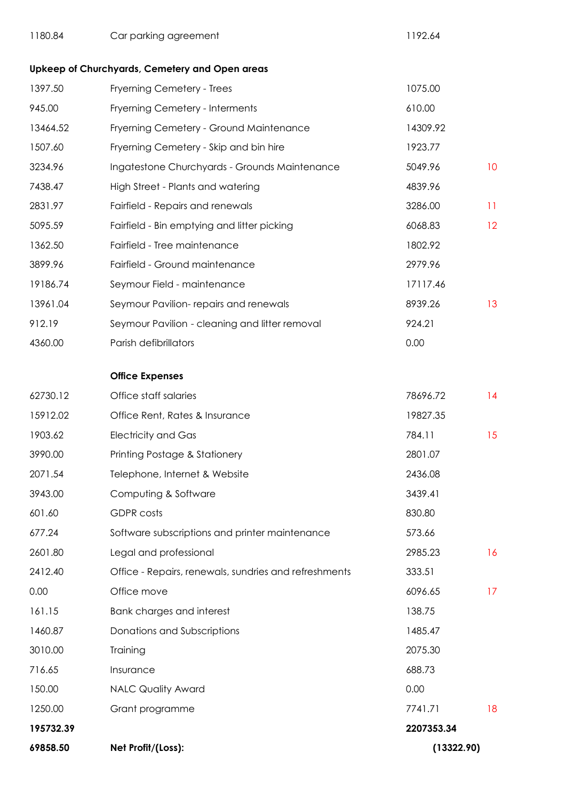| 1180.84                        | Car parking agreement                                 | 1192.64    |                 |
|--------------------------------|-------------------------------------------------------|------------|-----------------|
|                                | Upkeep of Churchyards, Cemetery and Open areas        |            |                 |
| 1397.50                        | Fryerning Cemetery - Trees                            | 1075.00    |                 |
| 945.00                         | Fryerning Cemetery - Interments                       | 610.00     |                 |
| 13464.52                       | Fryerning Cemetery - Ground Maintenance               | 14309.92   |                 |
| 1507.60                        | Fryerning Cemetery - Skip and bin hire                | 1923.77    |                 |
| 3234.96                        | Ingatestone Churchyards - Grounds Maintenance         | 5049.96    | 10              |
| 7438.47                        | High Street - Plants and watering                     | 4839.96    |                 |
| 2831.97                        | Fairfield - Repairs and renewals                      | 3286.00    | 11              |
| 5095.59                        | Fairfield - Bin emptying and litter picking           | 6068.83    | 12 <sup>2</sup> |
| 1362.50                        | Fairfield - Tree maintenance                          | 1802.92    |                 |
| 3899.96                        | Fairfield - Ground maintenance                        | 2979.96    |                 |
| 19186.74                       | Seymour Field - maintenance                           | 17117.46   |                 |
| 13961.04                       | Seymour Pavilion- repairs and renewals                | 8939.26    | 13              |
| 912.19                         | Seymour Pavilion - cleaning and litter removal        | 924.21     |                 |
| 4360.00                        | Parish defibrillators                                 | 0.00       |                 |
|                                | <b>Office Expenses</b>                                |            |                 |
| 62730.12                       | Office staff salaries                                 | 78696.72   | 14              |
| 15912.02                       | Office Rent, Rates & Insurance                        | 19827.35   |                 |
| 1903.62                        | <b>Electricity and Gas</b>                            | 784.11     | 15              |
| 3990.00                        | Printing Postage & Stationery                         | 2801.07    |                 |
| 2071.54                        | Telephone, Internet & Website                         | 2436.08    |                 |
| 3943.00                        | Computing & Software                                  | 3439.41    |                 |
| 601.60                         | <b>GDPR</b> costs                                     | 830.80     |                 |
| 677.24                         | Software subscriptions and printer maintenance        | 573.66     |                 |
| 2601.80                        | Legal and professional                                | 2985.23    | 16              |
| 2412.40                        | Office - Repairs, renewals, sundries and refreshments | 333.51     |                 |
| 0.00                           | Office move                                           | 6096.65    | 17              |
| 161.15                         | <b>Bank charges and interest</b>                      | 138.75     |                 |
| 1460.87                        | Donations and Subscriptions                           | 1485.47    |                 |
| 3010.00                        | Training                                              | 2075.30    |                 |
| 716.65                         | Insurance                                             | 688.73     |                 |
| 150.00                         | <b>NALC Quality Award</b>                             | 0.00       |                 |
| 1250.00                        | Grant programme                                       | 7741.71    | 18              |
| 195732.39                      |                                                       | 2207353.34 |                 |
| 69858.50<br>Net Profit/(Loss): |                                                       | (13322.90) |                 |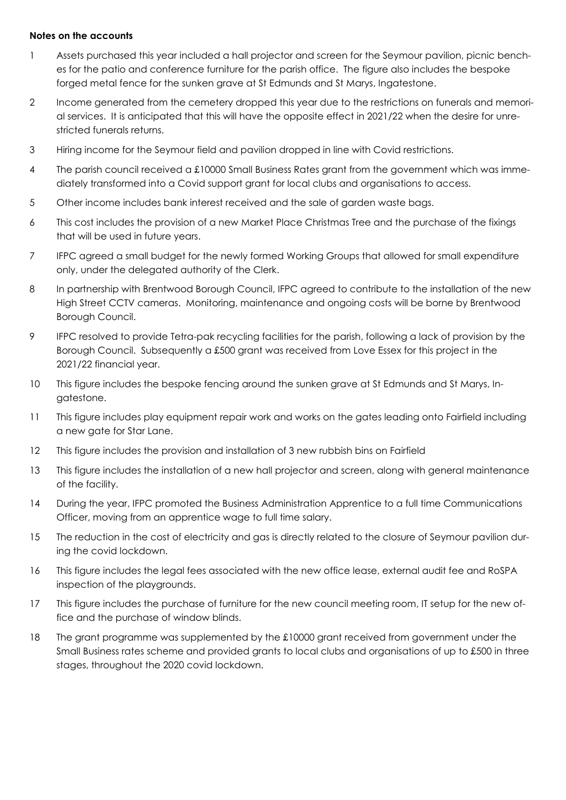#### Notes on the accounts

- 1 Assets purchased this year included a hall projector and screen for the Seymour pavilion, picnic benches for the patio and conference furniture for the parish office. The figure also includes the bespoke forged metal fence for the sunken grave at St Edmunds and St Marys, Ingatestone.
- 2 Income generated from the cemetery dropped this year due to the restrictions on funerals and memorial services. It is anticipated that this will have the opposite effect in 2021/22 when the desire for unrestricted funerals returns.
- 3 Hiring income for the Seymour field and pavilion dropped in line with Covid restrictions.
- 4 The parish council received a £10000 Small Business Rates grant from the government which was immediately transformed into a Covid support grant for local clubs and organisations to access.
- 5 Other income includes bank interest received and the sale of garden waste bags.
- 6 This cost includes the provision of a new Market Place Christmas Tree and the purchase of the fixings that will be used in future years.
- 7 IFPC agreed a small budget for the newly formed Working Groups that allowed for small expenditure only, under the delegated authority of the Clerk.
- 8 In partnership with Brentwood Borough Council, IFPC agreed to contribute to the installation of the new High Street CCTV cameras. Monitoring, maintenance and ongoing costs will be borne by Brentwood Borough Council.
- 9 IFPC resolved to provide Tetra-pak recycling facilities for the parish, following a lack of provision by the Borough Council. Subsequently a £500 grant was received from Love Essex for this project in the 2021/22 financial year.
- 10 This figure includes the bespoke fencing around the sunken grave at St Edmunds and St Marys, Ingatestone.
- 11 This figure includes play equipment repair work and works on the gates leading onto Fairfield including a new gate for Star Lane.
- 12 This figure includes the provision and installation of 3 new rubbish bins on Fairfield
- 13 This figure includes the installation of a new hall projector and screen, along with general maintenance of the facility.
- 14 During the year, IFPC promoted the Business Administration Apprentice to a full time Communications Officer, moving from an apprentice wage to full time salary.
- 15 The reduction in the cost of electricity and gas is directly related to the closure of Seymour pavilion during the covid lockdown.
- 16 This figure includes the legal fees associated with the new office lease, external audit fee and RoSPA inspection of the playgrounds.
- 17 This figure includes the purchase of furniture for the new council meeting room, IT setup for the new office and the purchase of window blinds.
- 18 The grant programme was supplemented by the £10000 grant received from government under the Small Business rates scheme and provided grants to local clubs and organisations of up to £500 in three stages, throughout the 2020 covid lockdown.